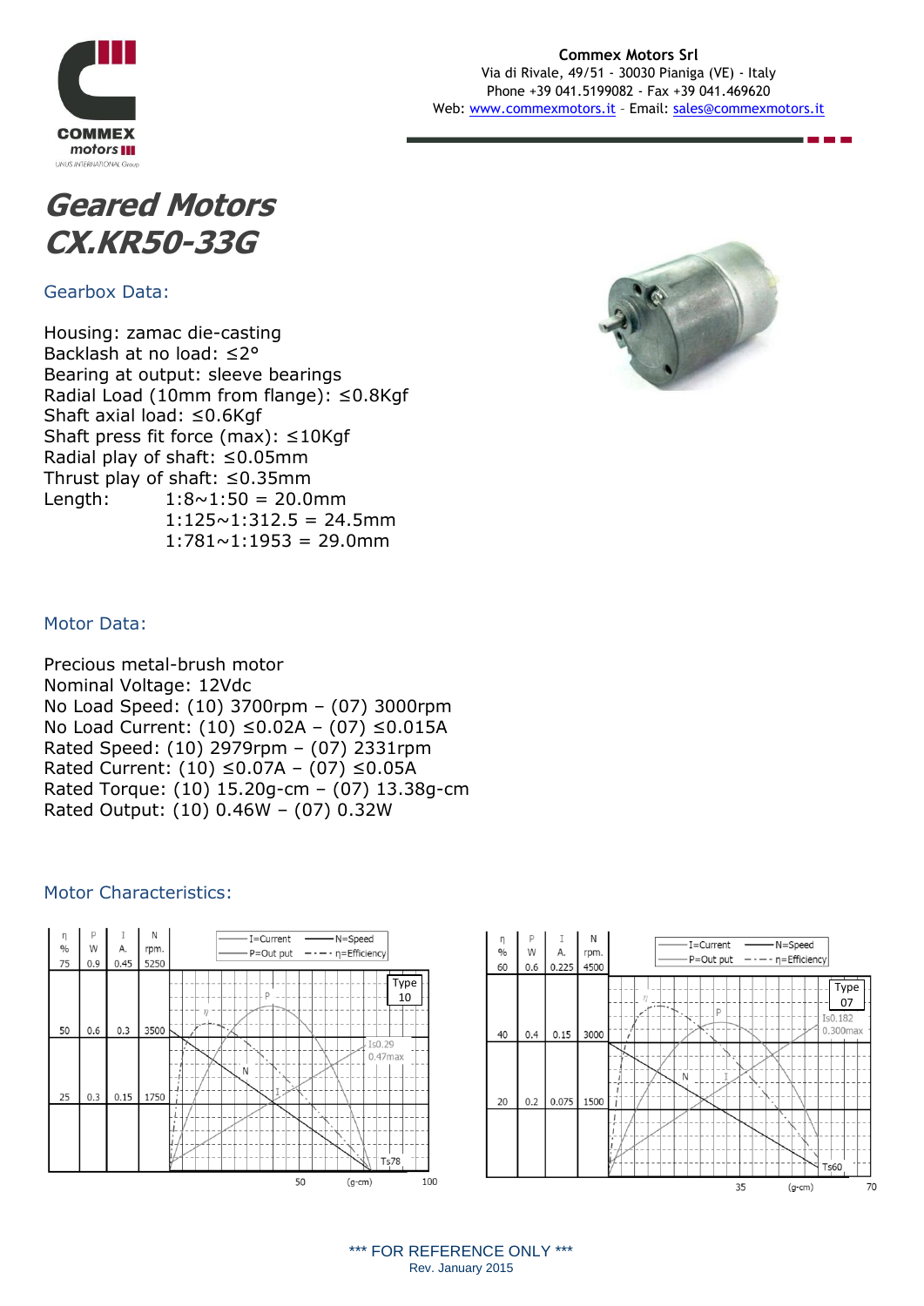

#### **Commex Motors Srl** Via di Rivale, 49/51 - 30030 Pianiga (VE) - Italy Phone +39 041.5199082 - Fax +39 041.469620 Web: [www.commexmotors.it](http://www.commexmotors.it/) – Email: [sales@commexmotors.it](mailto:sales@commexmotors.it)



Gearbox Data:

Housing: zamac die-casting Backlash at no load: ≤2° Bearing at output: sleeve bearings Radial Load (10mm from flange): ≤0.8Kgf Shaft axial load: ≤0.6Kgf Shaft press fit force (max): ≤10Kgf Radial play of shaft: ≤0.05mm Thrust play of shaft: ≤0.35mm Length:  $1:8 \sim 1:50 = 20.0$ mm  $1:125 \sim 1:312.5 = 24.5$ mm  $1:781 \sim 1:1953 = 29.0$ mm



70

## Motor Data:

Precious metal-brush motor Nominal Voltage: 12Vdc No Load Speed: (10) 3700rpm – (07) 3000rpm No Load Current: (10) ≤0.02A – (07) ≤0.015A Rated Speed: (10) 2979rpm – (07) 2331rpm Rated Current: (10) ≤0.07A – (07) ≤0.05A Rated Torque: (10) 15.20g-cm – (07) 13.38g-cm Rated Output: (10) 0.46W – (07) 0.32W

#### Motor Characteristics: